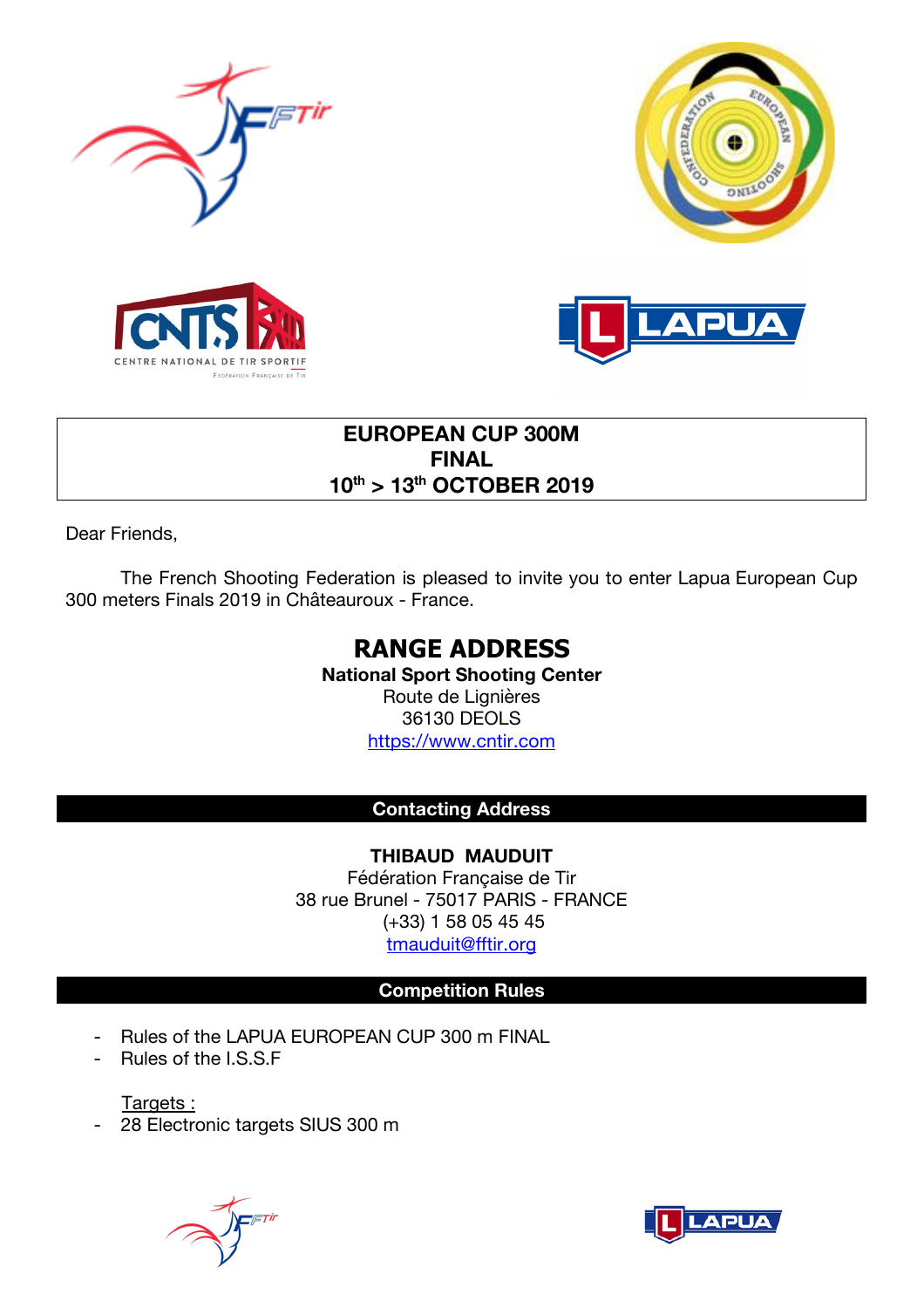







# **EUROPEAN CUP 300M FINAL 10th > 13th OCTOBER 2019**

Dear Friends,

The French Shooting Federation is pleased to invite you to enter Lapua European Cup 300 meters Finals 2019 in Châteauroux - France.

# **RANGE ADDRESS**

**National Sport Shooting Center**  Route de Lignières 36130 DEOLS https://www.cntir.com

# **Contacting Address**

**THIBAUD MAUDUIT** Fédération Française de Tir 38 rue Brunel - 75017 PARIS - FRANCE (+33) 1 58 05 45 45 tmauduit@fftir.org

# **Competition Rules**

- Rules of the LAPUA EUROPEAN CUP 300 m FINAL
- Rules of the I.S.S.F

Targets :

- 28 Electronic targets SIUS 300 m



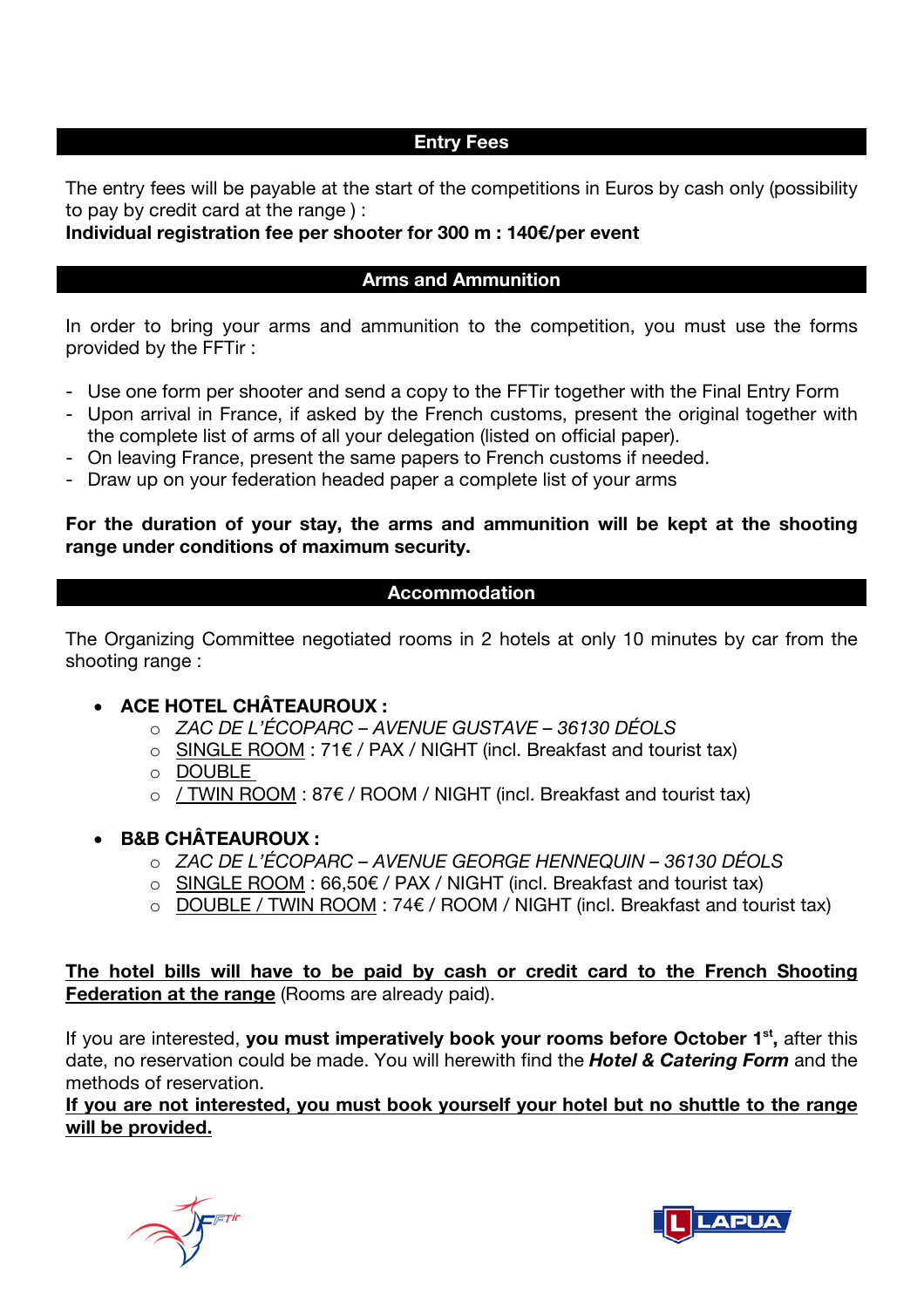#### **Entry Fees**

The entry fees will be payable at the start of the competitions in Euros by cash only (possibility to pay by credit card at the range ) :

**Individual registration fee per shooter for 300 m : 140€/per event**

#### **Arms and Ammunition**

In order to bring your arms and ammunition to the competition, you must use the forms provided by the FFTir :

- Use one form per shooter and send a copy to the FFTir together with the Final Entry Form
- Upon arrival in France, if asked by the French customs, present the original together with the complete list of arms of all your delegation (listed on official paper).
- On leaving France, present the same papers to French customs if needed.
- Draw up on your federation headed paper a complete list of your arms

# **For the duration of your stay, the arms and ammunition will be kept at the shooting range under conditions of maximum security.**

## **Accommodation**

The Organizing Committee negotiated rooms in 2 hotels at only 10 minutes by car from the shooting range :

## • **ACE HOTEL CHÂTEAUROUX :**

- o *ZAC DE L'ÉCOPARC – AVENUE GUSTAVE – 36130 DÉOLS*
- o SINGLE ROOM : 71€ / PAX / NIGHT (incl. Breakfast and tourist tax)
- o DOUBLE
- $\circ$  / TWIN ROOM : 87 $\varepsilon$  / ROOM / NIGHT (incl. Breakfast and tourist tax)
- **B&B CHÂTEAUROUX :** 
	- o *ZAC DE L'ÉCOPARC – AVENUE GEORGE HENNEQUIN – 36130 DÉOLS*
	- o SINGLE ROOM : 66,50€ / PAX / NIGHT (incl. Breakfast and tourist tax)
	- o DOUBLE / TWIN ROOM : 74€ / ROOM / NIGHT (incl. Breakfast and tourist tax)

**The hotel bills will have to be paid by cash or credit card to the French Shooting Federation at the range** (Rooms are already paid).

If you are interested, **you must imperatively book your rooms before October 1st,** after this date, no reservation could be made. You will herewith find the *Hotel & Catering Form* and the methods of reservation.

**If you are not interested, you must book yourself your hotel but no shuttle to the range will be provided.**



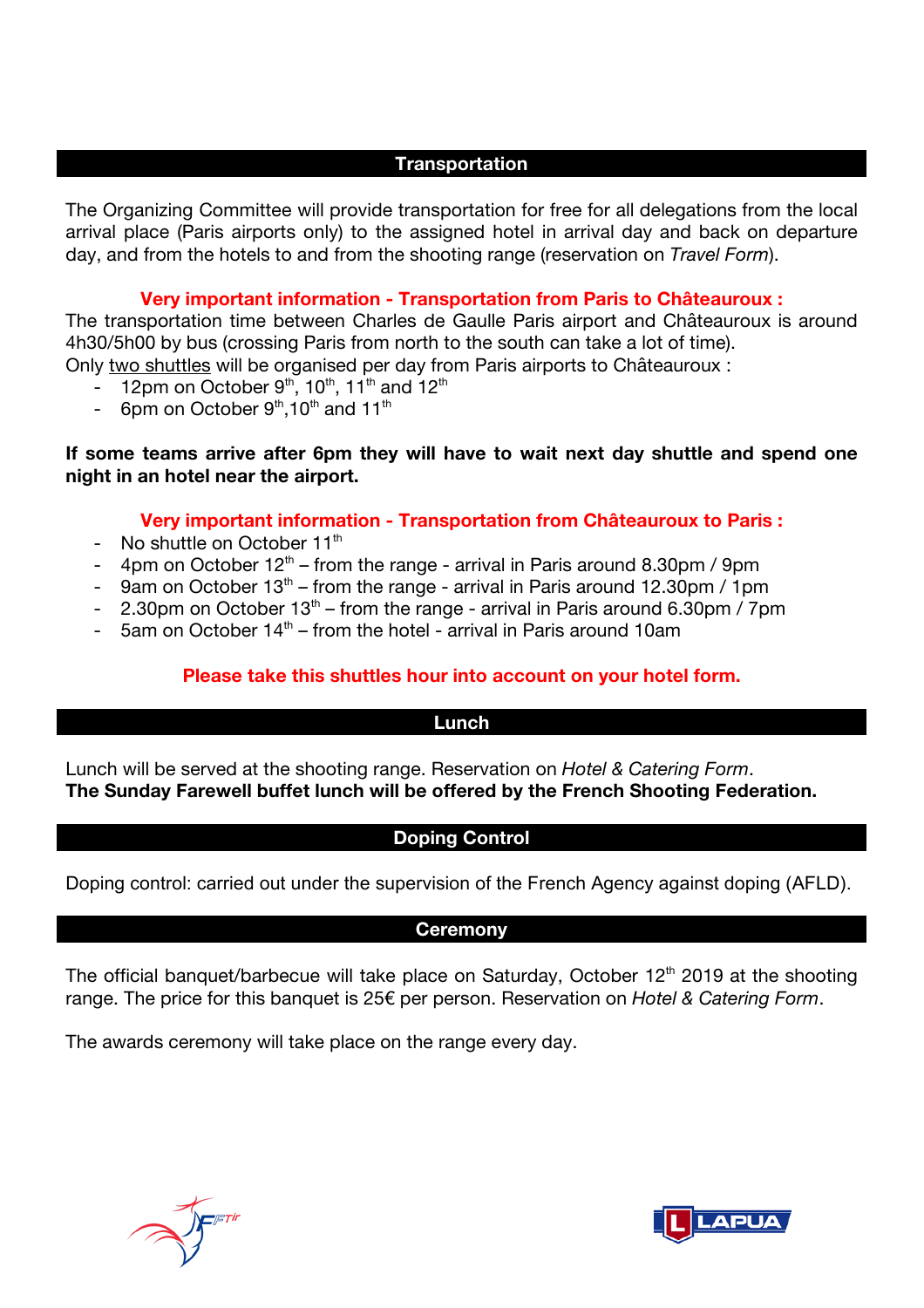#### **Transportation**

The Organizing Committee will provide transportation for free for all delegations from the local arrival place (Paris airports only) to the assigned hotel in arrival day and back on departure day, and from the hotels to and from the shooting range (reservation on *Travel Form*).

#### **Very important information - Transportation from Paris to Châteauroux :**

The transportation time between Charles de Gaulle Paris airport and Châteauroux is around 4h30/5h00 by bus (crossing Paris from north to the south can take a lot of time). Only two shuttles will be organised per day from Paris airports to Châteauroux :

- $-$  12pm on October 9<sup>th</sup>, 10<sup>th</sup>, 11<sup>th</sup> and 12<sup>th</sup>
- 6pm on October  $9<sup>th</sup>$ , 10<sup>th</sup> and 11<sup>th</sup>

### **If some teams arrive after 6pm they will have to wait next day shuttle and spend one night in an hotel near the airport.**

#### **Very important information - Transportation from Châteauroux to Paris :**

- No shuttle on October  $11<sup>th</sup>$
- 4pm on October  $12<sup>th</sup>$  from the range arrival in Paris around 8.30pm / 9pm
- 9am on October  $13<sup>th</sup>$  from the range arrival in Paris around 12.30pm / 1pm
- 2.30pm on October  $13<sup>th</sup>$  from the range arrival in Paris around 6.30pm / 7pm
- 5am on October  $14<sup>th</sup>$  from the hotel arrival in Paris around 10am

## **Please take this shuttles hour into account on your hotel form.**

#### **Lunch**

Lunch will be served at the shooting range. Reservation on *Hotel & Catering Form*. **The Sunday Farewell buffet lunch will be offered by the French Shooting Federation.** 

## **Doping Control**

Doping control: carried out under the supervision of the French Agency against doping (AFLD).

## **Ceremony**

The official banquet/barbecue will take place on Saturday, October 12<sup>th</sup> 2019 at the shooting range. The price for this banquet is 25€ per person. Reservation on *Hotel & Catering Form*.

The awards ceremony will take place on the range every day.